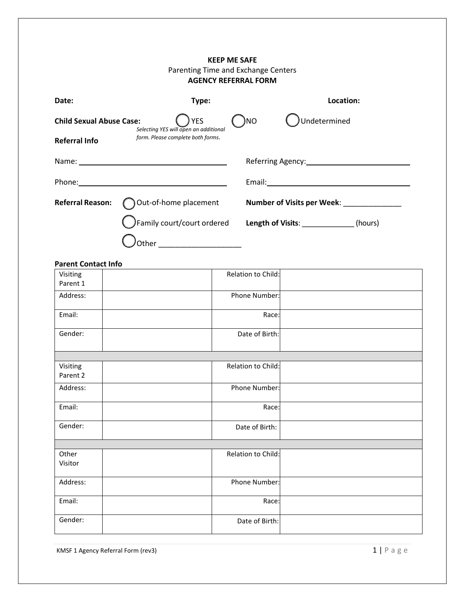| <b>KEEP ME SAFE</b><br>Parenting Time and Exchange Centers<br><b>AGENCY REFERRAL FORM</b> |                                                                                          |     |                                                                 |  |  |
|-------------------------------------------------------------------------------------------|------------------------------------------------------------------------------------------|-----|-----------------------------------------------------------------|--|--|
| Date:                                                                                     | Type:                                                                                    |     | Location:                                                       |  |  |
| <b>Child Sexual Abuse Case:</b><br><b>Referral Info</b>                                   | <b>YES</b><br>Selecting YES will open an additional<br>form. Please complete both forms. | )NO | Undetermined                                                    |  |  |
|                                                                                           |                                                                                          |     |                                                                 |  |  |
|                                                                                           |                                                                                          |     |                                                                 |  |  |
| <b>Referral Reason:</b>                                                                   | Out-of-home placement                                                                    |     | Number of Visits per Week: Number of Visits per Week:           |  |  |
|                                                                                           |                                                                                          |     | Family court/court ordered Length of Visits: ___________(hours) |  |  |
|                                                                                           |                                                                                          |     |                                                                 |  |  |

## **Parent Contact Info**

| Visiting             | Relation to Child: |  |
|----------------------|--------------------|--|
| Parent 1             |                    |  |
| Address:             | Phone Number:      |  |
| Email:               | Race:              |  |
| Gender:              | Date of Birth:     |  |
|                      |                    |  |
| Visiting<br>Parent 2 | Relation to Child: |  |
| Address:             | Phone Number:      |  |
| Email:               | Race:              |  |
| Gender:              | Date of Birth:     |  |
|                      |                    |  |
| Other<br>Visitor     | Relation to Child: |  |
| Address:             | Phone Number:      |  |
| Email:               | Race:              |  |
| Gender:              | Date of Birth:     |  |

KMSF 1 Agency Referral Form (rev3)  $1 | P a g e$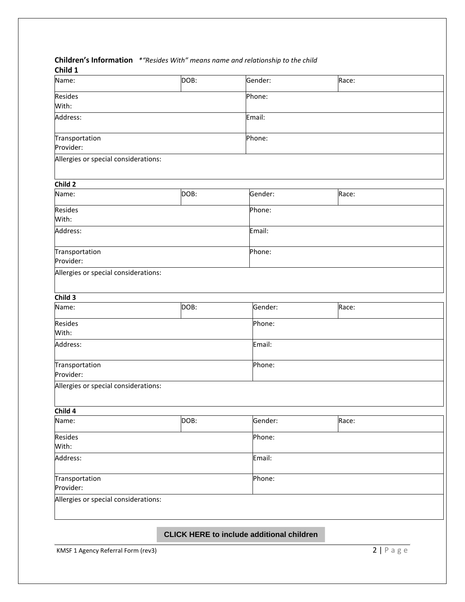## **Children's Information** *\*"Resides With" means name and relationship to the child*

## **Child 1**

| Culla T                              |      |         |       |  |  |
|--------------------------------------|------|---------|-------|--|--|
| Name:                                | DOB: | Gender: | Race: |  |  |
| Resides                              |      | Phone:  |       |  |  |
| With:                                |      |         |       |  |  |
| Address:                             |      | Email:  |       |  |  |
| Transportation                       |      | Phone:  |       |  |  |
| Provider:                            |      |         |       |  |  |
| Allergies or special considerations: |      |         |       |  |  |
| Child 2                              |      |         |       |  |  |
| Name:                                | DOB: | Gender: | Race: |  |  |
| Resides                              |      | Phone:  |       |  |  |
| With:                                |      |         |       |  |  |
| Address:                             |      | Email:  |       |  |  |
| Transportation                       |      | Phone:  |       |  |  |
| Provider:                            |      |         |       |  |  |
| Allergies or special considerations: |      |         |       |  |  |
| Child 3                              |      |         |       |  |  |
| Name:                                | DOB: | Gender: | Race: |  |  |
| Resides                              |      | Phone:  |       |  |  |
| With:                                |      |         |       |  |  |
| Address:                             |      | Email:  |       |  |  |
| Transportation                       |      | Phone:  |       |  |  |
| Provider:                            |      |         |       |  |  |
| Allergies or special considerations: |      |         |       |  |  |
| Child 4                              |      |         |       |  |  |
| Name:                                | DOB: | Gender: | Race: |  |  |
| Resides                              |      | Phone:  |       |  |  |
| With:                                |      |         |       |  |  |
| Address:                             |      | Email:  |       |  |  |
| Transportation                       |      | Phone:  |       |  |  |
| Provider:                            |      |         |       |  |  |
| Allergies or special considerations: |      |         |       |  |  |
|                                      |      |         |       |  |  |

**CLICK HERE CLICK HERE to include additional to include additional children children**